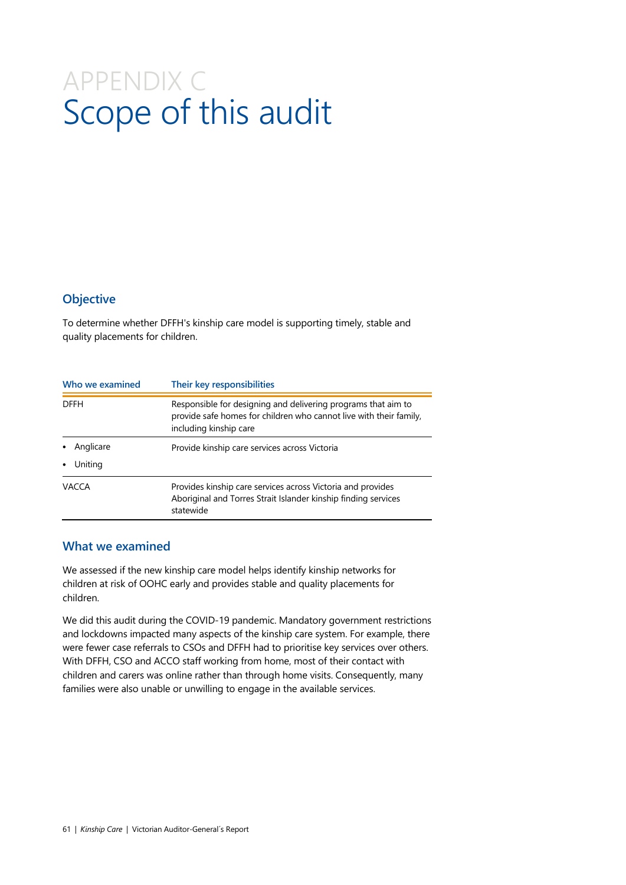# APPENDIX C Scope of this audit

### **Objective**

To determine whether DFFH's kinship care model is supporting timely, stable and quality placements for children.

| Who we examined | Their key responsibilities                                                                                                                                    |
|-----------------|---------------------------------------------------------------------------------------------------------------------------------------------------------------|
| <b>DFFH</b>     | Responsible for designing and delivering programs that aim to<br>provide safe homes for children who cannot live with their family,<br>including kinship care |
| Anglicare       | Provide kinship care services across Victoria                                                                                                                 |
| Uniting         |                                                                                                                                                               |
| VACCA           | Provides kinship care services across Victoria and provides<br>Aboriginal and Torres Strait Islander kinship finding services<br>statewide                    |

#### **What we examined**

We assessed if the new kinship care model helps identify kinship networks for children at risk of OOHC early and provides stable and quality placements for children.

We did this audit during the COVID-19 pandemic. Mandatory government restrictions and lockdowns impacted many aspects of the kinship care system. For example, there were fewer case referrals to CSOs and DFFH had to prioritise key services over others. With DFFH, CSO and ACCO staff working from home, most of their contact with children and carers was online rather than through home visits. Consequently, many families were also unable or unwilling to engage in the available services.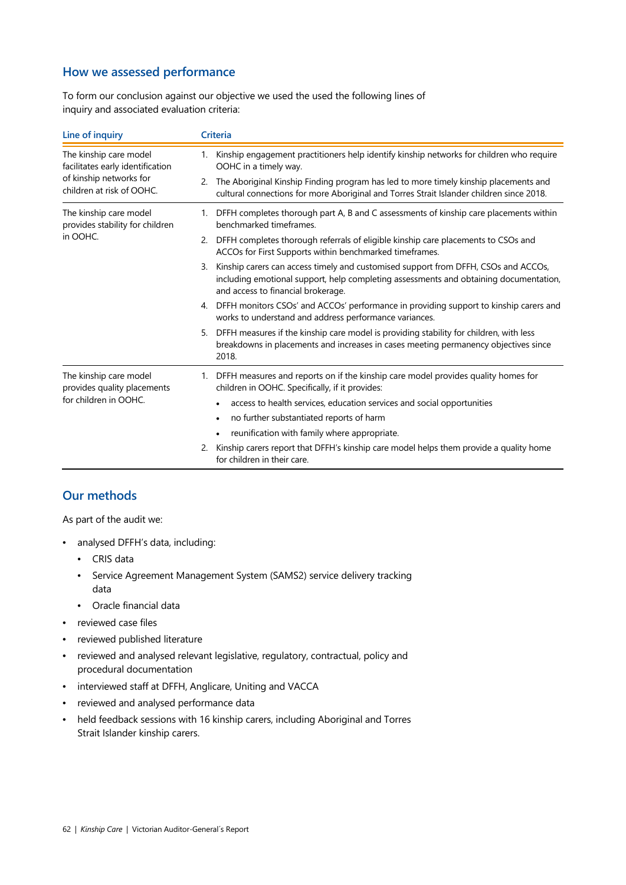### **How we assessed performance**

To form our conclusion against our objective we used the used the following lines of inquiry and associated evaluation criteria:

| Line of inquiry                                                                                                    | <b>Criteria</b>                                                                                                                                                                                                         |
|--------------------------------------------------------------------------------------------------------------------|-------------------------------------------------------------------------------------------------------------------------------------------------------------------------------------------------------------------------|
| The kinship care model<br>facilitates early identification<br>of kinship networks for<br>children at risk of OOHC. | Kinship engagement practitioners help identify kinship networks for children who require<br>1.<br>OOHC in a timely way.                                                                                                 |
|                                                                                                                    | The Aboriginal Kinship Finding program has led to more timely kinship placements and<br>2.<br>cultural connections for more Aboriginal and Torres Strait Islander children since 2018.                                  |
| The kinship care model<br>provides stability for children<br>in OOHC.                                              | 1. DFFH completes thorough part A, B and C assessments of kinship care placements within<br>benchmarked timeframes.                                                                                                     |
|                                                                                                                    | 2. DFFH completes thorough referrals of eligible kinship care placements to CSOs and<br>ACCOs for First Supports within benchmarked timeframes.                                                                         |
|                                                                                                                    | Kinship carers can access timely and customised support from DFFH, CSOs and ACCOs,<br>3.<br>including emotional support, help completing assessments and obtaining documentation,<br>and access to financial brokerage. |
|                                                                                                                    | 4. DFFH monitors CSOs' and ACCOs' performance in providing support to kinship carers and<br>works to understand and address performance variances.                                                                      |
|                                                                                                                    | DFFH measures if the kinship care model is providing stability for children, with less<br>5.<br>breakdowns in placements and increases in cases meeting permanency objectives since<br>2018.                            |
| The kinship care model<br>provides quality placements<br>for children in OOHC.                                     | DFFH measures and reports on if the kinship care model provides quality homes for<br>1.<br>children in OOHC. Specifically, if it provides:                                                                              |
|                                                                                                                    | access to health services, education services and social opportunities                                                                                                                                                  |
|                                                                                                                    | no further substantiated reports of harm<br>$\bullet$                                                                                                                                                                   |
|                                                                                                                    | reunification with family where appropriate.                                                                                                                                                                            |
|                                                                                                                    | Kinship carers report that DFFH's kinship care model helps them provide a quality home<br>2.<br>for children in their care.                                                                                             |

### **Our methods**

As part of the audit we:

- analysed DFFH's data, including:
	- CRIS data
	- Service Agreement Management System (SAMS2) service delivery tracking data
	- Oracle financial data
- reviewed case files
- reviewed published literature
- reviewed and analysed relevant legislative, regulatory, contractual, policy and procedural documentation
- interviewed staff at DFFH, Anglicare, Uniting and VACCA
- reviewed and analysed performance data
- held feedback sessions with 16 kinship carers, including Aboriginal and Torres Strait Islander kinship carers.